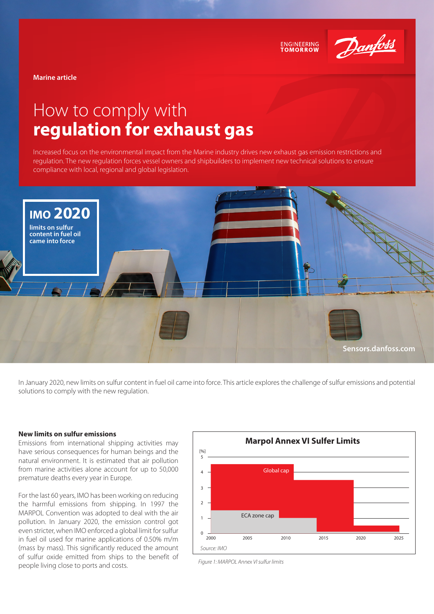

**ENGINEERING** 

**Marine article**

# How to comply with **regulation for exhaust gas**

Increased focus on the environmental impact from the Marine industry drives new exhaust gas emission restrictions and regulation. The new regulation forces vessel owners and shipbuilders to implement new technical solutions to ensure compliance with local, regional and global legislation.



In January 2020, new limits on sulfur content in fuel oil came into force. This article explores the challenge of sulfur emissions and potential solutions to comply with the new regulation.

# **New limits on sulfur emissions**

Emissions from international shipping activities may have serious consequences for human beings and the natural environment. It is estimated that air pollution from marine activities alone account for up to 50,000 premature deaths every year in Europe.

For the last 60 years, IMO has been working on reducing the harmful emissions from shipping. In 1997 the MARPOL Convention was adopted to deal with the air pollution. In January 2020, the emission control got even stricter, when IMO enforced a global limit for sulfur in fuel oil used for marine applications of 0.50% m/m (mass by mass). This significantly reduced the amount of sulfur oxide emitted from ships to the benefit of people living close to ports and costs.



*Figure 1: MARPOL Annex VI sulfur limits*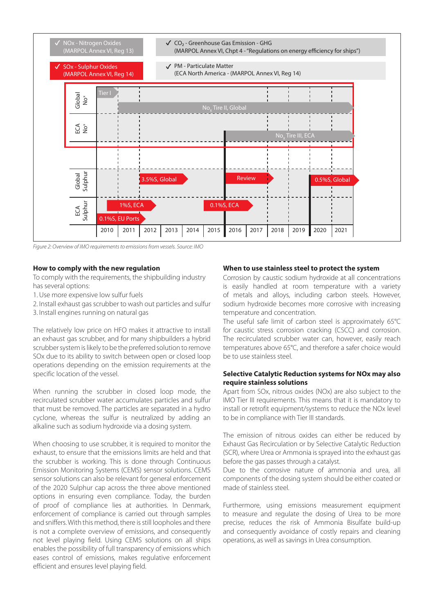

#### **How to comply with the new regulation**

To comply with the requirements, the shipbuilding industry has several options:

1. Use more expensive low sulfur fuels

2. Install exhaust gas scrubber to wash out particles and sulfur

3. Install engines running on natural gas

The relatively low price on HFO makes it attractive to install an exhaust gas scrubber, and for many shipbuilders a hybrid scrubber system is likely to be the preferred solution to remove SOx due to its ability to switch between open or closed loop operations depending on the emission requirements at the specific location of the vessel.

When running the scrubber in closed loop mode, the recirculated scrubber water accumulates particles and sulfur that must be removed. The particles are separated in a hydro cyclone, whereas the sulfur is neutralized by adding an alkaline such as sodium hydroxide via a dosing system.

When choosing to use scrubber, it is required to monitor the exhaust, to ensure that the emissions limits are held and that the scrubber is working. This is done through Continuous Emission Monitoring Systems (CEMS) sensor solutions. CEMS sensor solutions can also be relevant for general enforcement of the 2020 Sulphur cap across the three above mentioned options in ensuring even compliance. Today, the burden of proof of compliance lies at authorities. In Denmark, enforcement of compliance is carried out through samples and sniffers. With this method, there is still loopholes and there is not a complete overview of emissions, and consequently not level playing field. Using CEMS solutions on all ships enables the possibility of full transparency of emissions which eases control of emissions, makes regulative enforcement efficient and ensures level playing field.

#### **When to use stainless steel to protect the system**

Corrosion by caustic sodium hydroxide at all concentrations is easily handled at room temperature with a variety of metals and alloys, including carbon steels. However, sodium hydroxide becomes more corrosive with increasing temperature and concentration.

The useful safe limit of carbon steel is approximately 65°C for caustic stress corrosion cracking (CSCC) and corrosion. The recirculated scrubber water can, however, easily reach temperatures above 65°C, and therefore a safer choice would be to use stainless steel.

### **Selective Catalytic Reduction systems for NOx may also require stainless solutions**

Apart from SOx, nitrous oxides (NOx) are also subject to the IMO Tier III requirements. This means that it is mandatory to install or retrofit equipment/systems to reduce the NOx level to be in compliance with Tier III standards.

The emission of nitrous oxides can either be reduced by Exhaust Gas Recirculation or by Selective Catalytic Reduction (SCR), where Urea or Ammonia is sprayed into the exhaust gas before the gas passes through a catalyst.

Due to the corrosive nature of ammonia and urea, all components of the dosing system should be either coated or made of stainless steel.

Furthermore, using emissions measurement equipment to measure and regulate the dosing of Urea to be more precise, reduces the risk of Ammonia Bisulfate build-up and consequently avoidance of costly repairs and cleaning operations, as well as savings in Urea consumption.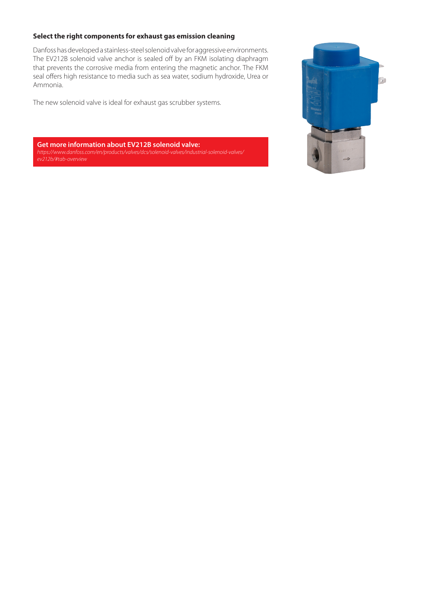# **Select the right components for exhaust gas emission cleaning**

Danfoss has developed a stainless-steel solenoid valve for aggressive environments. The EV212B solenoid valve anchor is sealed off by an FKM isolating diaphragm that prevents the corrosive media from entering the magnetic anchor. The FKM seal offers high resistance to media such as sea water, sodium hydroxide, Urea or Ammonia.

The new solenoid valve is ideal for exhaust gas scrubber systems.

**Get more information about EV212B solenoid valve:**  *https://www.danfoss.com/en/products/valves/dcs/solenoid-valves/industrial-solenoid-valves/ ev212b/#tab-overview*